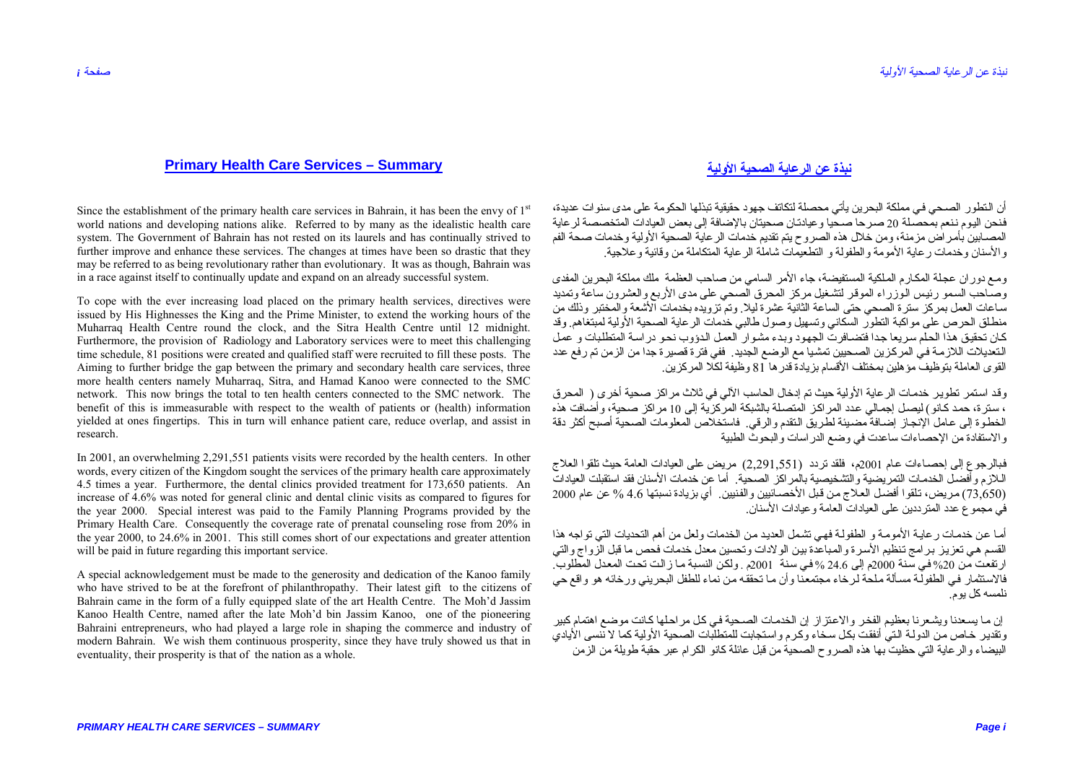## **Primary Health Care Services – Summary**

Since the establishment of the primary health care services in Bahrain, it has been the envy of  $1<sup>st</sup>$ world nations and developing nations alike. Referred to by many as the idealistic health care system. The Government of Bahrain has not rested on its laurels and has continually strived to further improve and enhance these services. The changes at times have been so drastic that they may be referred to as being revolutionary rather than evolutionary. It was as though, Bahrain was in a race against itself to continually update and expand on an already successful system.

To cope with the ever increasing load placed on the primary health services, directives were issued by His Highnesses the King and the Prime Minister, to extend the working hours of the Muharraq Health Centre round the clock, and the Sitra Health Centre until 12 midnight. Furthermore, the provision of Radiology and Laboratory services were to meet this challenging time schedule, 81 positions were created and qualified staff were recruited to fill these posts. The Aiming to further bridge the gap between the primary and secondary health care services, three more health centers namely Muharraq, Sitra, and Hamad Kanoo were connected to the SMC network. This now brings the total to ten health centers connected to the SMC network. The benefit of this is immeasurable with respect to the wealth of patients or (health) information yielded at ones fingertips. This in turn will enhance patient care, reduce overlap, and assist in research.

In 2001, an overwhelming 2,291,551 patients visits were recorded by the health centers. In other words, every citizen of the Kingdom sought the services of the primary health care approximately 4.5 times a year. Furthermore, the dental clinics provided treatment for 173,650 patients. An increase of 4.6% was noted for general clinic and dental clinic visits as compared to figures for the year 2000. Special interest was paid to the Family Planning Programs provided by the Primary Health Care. Consequently the coverage rate of prenatal counseling rose from 20% in the year 2000, to 24.6% in 2001. This still comes short of our expectations and greater attention will be paid in future regarding this important service.

A special acknowledgement must be made to the generosity and dedication of the Kanoo family who have strived to be at the forefront of philanthropathy. Their latest gift to the citizens of Bahrain came in the form of a fully equipped slate of the art Health Centre. The Moh'd Jassim Kanoo Health Centre, named after the late Mohíd bin Jassim Kanoo, one of the pioneering Bahraini entrepreneurs, who had played a large role in shaping the commerce and industry of modern Bahrain. We wish them continuous prosperity, since they have truly showed us that in eventuality, their prosperity is that of the nation as a whole.

## **نبذة عن الرعاية الصحية الأولية**

أن النطور الصبحي في مملكة البحرين يأتي محصلة لتكاتف جهود حقيقية تبذلها الحكومة على مدى سنوات عديدة، فنحن اليوم ننعم بمحصلة 20 صر حاً صحياً و عيادتان صحيتان بالإضافة إلى بعض العيادات المتخصصة لر عاية المصابين بأمر اص مزمنة، ومن خلال هذه الصروح يتم تقديم خدمات الرعاية الصحية الأولية وخدمات صحة الفم والأسنان وخدمات رعاية الأمومة والطفولة <sup>و</sup> التطعيمات شاملة الرعاية المتكاملة من وقائية وعلاجية.

ومع دور ان عجلة المكارم الملكية المستفيضة، جاء الأمر السامي من صاحب العظمة ملك مملكة البحرين المفدى وصباحب السمو رئيس الوزراء الموقر لتشغيل مركز المحرق الصحي على مدى الأربع والعشرون ساعة وتمديد ساعات العمل بمركز سترة الصحي حتى الساعة الثانية عشرة ليلا. وتم تزويده بخدمات الأشعة والمختبر وذلك من منطلق الحرص على مواكبة التطور السكاني وتسهيل وصول طالبي خدمات الرعابة الصحبة الأولية لمبتغاهم. وقد كان تحقيق هذا الحلم سريعاً جداً فتضافرت الجهود وبدء مشوار العمل الدؤوب نحو در اسة المتطلبات و <sup>أ</sup>عمل النعديلات اللازمـة فـي المركزين الصـحيين تمشياً مع الوضـع الجديد. ففي فترة قصيرة جداً من الزمن تم رفع عدد القوى العاملة بتوظيف مؤهلين بمختلف الأقسام بزيادة قدرها <sup>8</sup><sup>1</sup> وظيفة لكلا المرآزين.

وقد استمر تطوير خدمات الرعاية الأولية حيث تم إدخال الحاسب الآلي في ثلاث مراكز صحية أخرى ( المحرق ، سنرة، حمد كانو) ليصل إجمالي عدد المراكز المتصلة بالشبكة المركزية إلى 10 مراكز صحية، وأضافت هذه الخطوة إلى عامل الإنجاز إضافة مضيئة لطريق النقدم والرقي. فاستخلاص المعلومات الصحية أصبح أكثر دقة والاستفادة من الإحصاءات ساعدت في وضع الدراسات والبحوث الطبية

فبالرجوع إلى إحصاءات عام 2001م، فلقد تردد (2,291,551) مريض على العيادات العامة حيث تلقوا العلاج اللاز م وأفضل الخدمات التمر بضية والتشخيصية بالمر اكز الصحية. أما عن خدمات الأسنان فقد استقبلت العيادات (73,650) مKريض، تKلقوا أفضKل العKلاج مKن قKبل الأخصKائيين والفKنيين. أي بزيادة نسبتها 4.6 % عن عام <sup>2000</sup> في مجموع عدد المترددين على العيادات العامة وعيادات الأسنان.

أمـا عن خدمـات ر عايـة الأمومـة و الطفولـة فهي تشمل العديد من الخدمات ولعل من أهم التحديات التي تواجه هذا القسم هي تعزيز برامج تنظيم الأسرة والمباعدة بين الولادات وتحسين معدل خدمات فحص ما قبل الزواج والتي ارتفعت من 20% في سنة 2000م إلى 24.6 % في سنة 2001م . ولكن النسبة مـا زالت تحت المعدل المطلوب. فالاستثمار ً في الطفولَّة مسألة ملحة لرخاء مجتمعنا وأن ما تحققه من نماء للطفل البحريني ورخائه هو واقع حي نلمسه كل يوم.

إن ما يسعدنا ويشعرنا بعظيم الفخر والاعتزاز إن الخدمات الصحية في كل مراحلها كانت موضع اهتمام كبير وتقدير خاص من الدولـة الـتي أنفقت بكل سـحاء وكـرم واستجابت للمتطلبات الصـحية الأولية كما لا ننسى الأيادي البيضاء والرعاية التي حظيت بها هذه الصروح الصحية من قبل عائلة كانو الكر ام عبر حقبة طويلة من الزمن